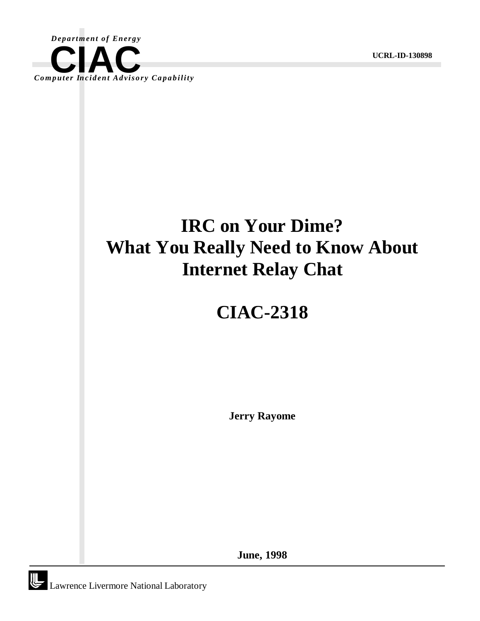

**UCRL-ID-130898**

## **IRC on Your Dime? What You Really Need to Know About Internet Relay Chat**

# **CIAC-2318**

**Jerry Rayome**

**June, 1998**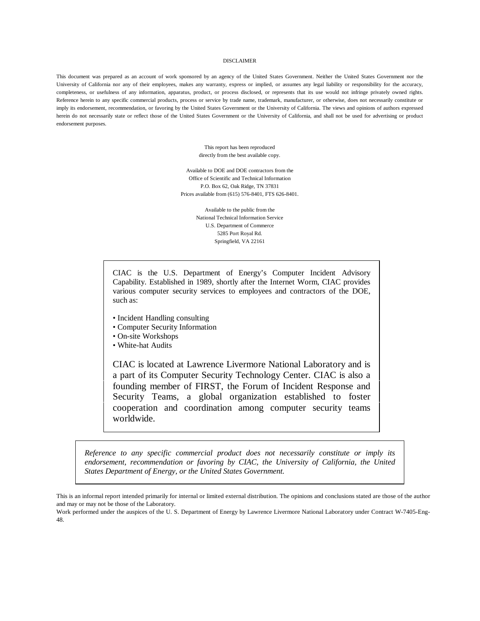#### DISCLAIMER

This document was prepared as an account of work sponsored by an agency of the United States Government. Neither the United States Government nor the University of California nor any of their employees, makes any warranty, express or implied, or assumes any legal liability or responsibility for the accuracy, completeness, or usefulness of any information, apparatus, product, or process disclosed, or represents that its use would not infringe privately owned rights. Reference herein to any specific commercial products, process or service by trade name, trademark, manufacturer, or otherwise, does not necessarily constitute or imply its endorsement, recommendation, or favoring by the United States Government or the University of California. The views and opinions of authors expressed herein do not necessarily state or reflect those of the United States Government or the University of California, and shall not be used for advertising or product endorsement purposes.

> This report has been reproduced directly from the best available copy.

Available to DOE and DOE contractors from the Office of Scientific and Technical Information P.O. Box 62, Oak Ridge, TN 37831 Prices available from (615) 576-8401, FTS 626-8401.

> Available to the public from the National Technical Information Service U.S. Department of Commerce 5285 Port Royal Rd. Springfield, VA 22161

CIAC is the U.S. Department of Energy's Computer Incident Advisory Capability. Established in 1989, shortly after the Internet Worm, CIAC provides various computer security services to employees and contractors of the DOE, such as:

- Incident Handling consulting
- Computer Security Information
- On-site Workshops
- White-hat Audits

CIAC is located at Lawrence Livermore National Laboratory and is a part of its Computer Security Technology Center. CIAC is also a founding member of FIRST, the Forum of Incident Response and Security Teams, a global organization established to foster cooperation and coordination among computer security teams worldwide.

*Reference to any specific commercial product does not necessarily constitute or imply its endorsement, recommendation or favoring by CIAC, the University of California, the United States Department of Energy, or the United States Government.*

This is an informal report intended primarily for internal or limited external distribution. The opinions and conclusions stated are those of the author and may or may not be those of the Laboratory.

Work performed under the auspices of the U. S. Department of Energy by Lawrence Livermore National Laboratory under Contract W-7405-Eng-48.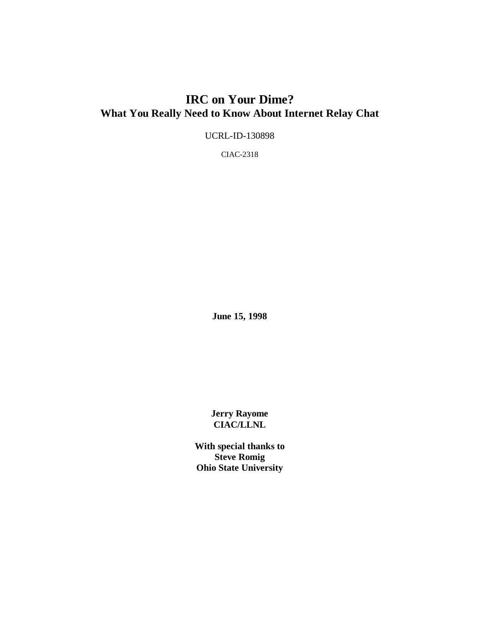### **IRC on Your Dime? What You Really Need to Know About Internet Relay Chat**

UCRL-ID-130898

CIAC-2318

**June 15, 1998**

**Jerry Rayome CIAC/LLNL**

**With special thanks to Steve Romig Ohio State University**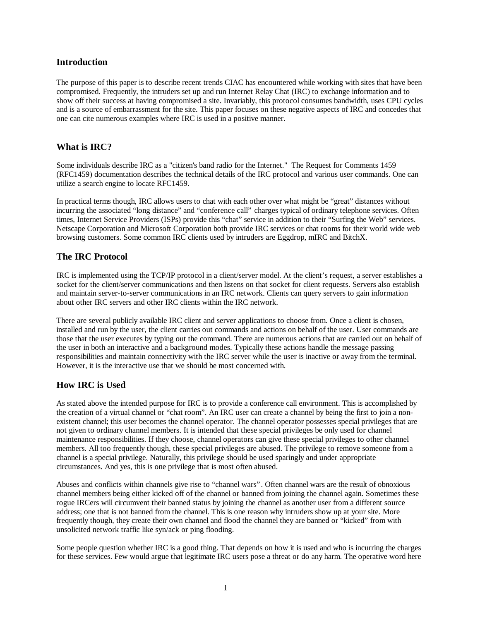#### **Introduction**

The purpose of this paper is to describe recent trends CIAC has encountered while working with sites that have been compromised. Frequently, the intruders set up and run Internet Relay Chat (IRC) to exchange information and to show off their success at having compromised a site. Invariably, this protocol consumes bandwidth, uses CPU cycles and is a source of embarrassment for the site. This paper focuses on these negative aspects of IRC and concedes that one can cite numerous examples where IRC is used in a positive manner.

#### **What is IRC?**

Some individuals describe IRC as a "citizen's band radio for the Internet." The Request for Comments 1459 (RFC1459) documentation describes the technical details of the IRC protocol and various user commands. One can utilize a search engine to locate RFC1459.

In practical terms though, IRC allows users to chat with each other over what might be "great" distances without incurring the associated "long distance" and "conference call" charges typical of ordinary telephone services. Often times, Internet Service Providers (ISPs) provide this "chat" service in addition to their "Surfing the Web" services. Netscape Corporation and Microsoft Corporation both provide IRC services or chat rooms for their world wide web browsing customers. Some common IRC clients used by intruders are Eggdrop, mIRC and BitchX.

#### **The IRC Protocol**

IRC is implemented using the TCP/IP protocol in a client/server model. At the client's request, a server establishes a socket for the client/server communications and then listens on that socket for client requests. Servers also establish and maintain server-to-server communications in an IRC network. Clients can query servers to gain information about other IRC servers and other IRC clients within the IRC network.

There are several publicly available IRC client and server applications to choose from. Once a client is chosen, installed and run by the user, the client carries out commands and actions on behalf of the user. User commands are those that the user executes by typing out the command. There are numerous actions that are carried out on behalf of the user in both an interactive and a background modes. Typically these actions handle the message passing responsibilities and maintain connectivity with the IRC server while the user is inactive or away from the terminal. However, it is the interactive use that we should be most concerned with.

#### **How IRC is Used**

As stated above the intended purpose for IRC is to provide a conference call environment. This is accomplished by the creation of a virtual channel or "chat room". An IRC user can create a channel by being the first to join a nonexistent channel; this user becomes the channel operator. The channel operator possesses special privileges that are not given to ordinary channel members. It is intended that these special privileges be only used for channel maintenance responsibilities. If they choose, channel operators can give these special privileges to other channel members. All too frequently though, these special privileges are abused. The privilege to remove someone from a channel is a special privilege. Naturally, this privilege should be used sparingly and under appropriate circumstances. And yes, this is one privilege that is most often abused.

Abuses and conflicts within channels give rise to "channel wars". Often channel wars are the result of obnoxious channel members being either kicked off of the channel or banned from joining the channel again. Sometimes these rogue IRCers will circumvent their banned status by joining the channel as another user from a different source address; one that is not banned from the channel. This is one reason why intruders show up at your site. More frequently though, they create their own channel and flood the channel they are banned or "kicked" from with unsolicited network traffic like syn/ack or ping flooding.

Some people question whether IRC is a good thing. That depends on how it is used and who is incurring the charges for these services. Few would argue that legitimate IRC users pose a threat or do any harm. The operative word here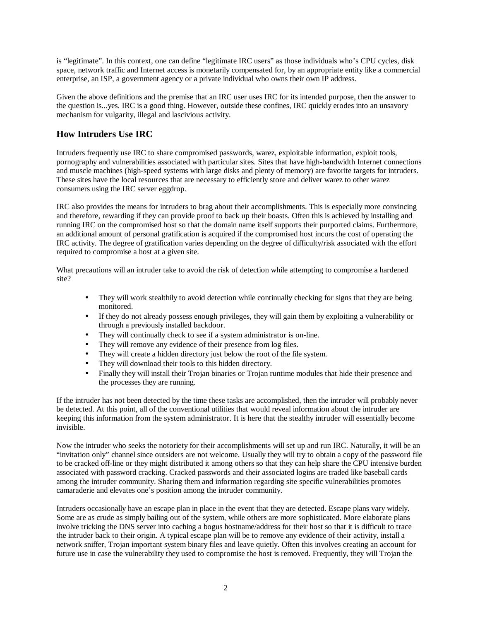is "legitimate". In this context, one can define "legitimate IRC users" as those individuals who's CPU cycles, disk space, network traffic and Internet access is monetarily compensated for, by an appropriate entity like a commercial enterprise, an ISP, a government agency or a private individual who owns their own IP address.

Given the above definitions and the premise that an IRC user uses IRC for its intended purpose, then the answer to the question is...yes. IRC is a good thing. However, outside these confines, IRC quickly erodes into an unsavory mechanism for vulgarity, illegal and lascivious activity.

#### **How Intruders Use IRC**

Intruders frequently use IRC to share compromised passwords, warez, exploitable information, exploit tools, pornography and vulnerabilities associated with particular sites. Sites that have high-bandwidth Internet connections and muscle machines (high-speed systems with large disks and plenty of memory) are favorite targets for intruders. These sites have the local resources that are necessary to efficiently store and deliver warez to other warez consumers using the IRC server eggdrop.

IRC also provides the means for intruders to brag about their accomplishments. This is especially more convincing and therefore, rewarding if they can provide proof to back up their boasts. Often this is achieved by installing and running IRC on the compromised host so that the domain name itself supports their purported claims. Furthermore, an additional amount of personal gratification is acquired if the compromised host incurs the cost of operating the IRC activity. The degree of gratification varies depending on the degree of difficulty/risk associated with the effort required to compromise a host at a given site.

What precautions will an intruder take to avoid the risk of detection while attempting to compromise a hardened site?

- They will work stealthily to avoid detection while continually checking for signs that they are being monitored.
- If they do not already possess enough privileges, they will gain them by exploiting a vulnerability or through a previously installed backdoor.
- They will continually check to see if a system administrator is on-line.
- They will remove any evidence of their presence from log files.
- They will create a hidden directory just below the root of the file system.
- They will download their tools to this hidden directory.
- Finally they will install their Trojan binaries or Trojan runtime modules that hide their presence and the processes they are running.

If the intruder has not been detected by the time these tasks are accomplished, then the intruder will probably never be detected. At this point, all of the conventional utilities that would reveal information about the intruder are keeping this information from the system administrator. It is here that the stealthy intruder will essentially become invisible.

Now the intruder who seeks the notoriety for their accomplishments will set up and run IRC. Naturally, it will be an "invitation only" channel since outsiders are not welcome. Usually they will try to obtain a copy of the password file to be cracked off-line or they might distributed it among others so that they can help share the CPU intensive burden associated with password cracking. Cracked passwords and their associated logins are traded like baseball cards among the intruder community. Sharing them and information regarding site specific vulnerabilities promotes camaraderie and elevates one's position among the intruder community.

Intruders occasionally have an escape plan in place in the event that they are detected. Escape plans vary widely. Some are as crude as simply bailing out of the system, while others are more sophisticated. More elaborate plans involve tricking the DNS server into caching a bogus hostname/address for their host so that it is difficult to trace the intruder back to their origin. A typical escape plan will be to remove any evidence of their activity, install a network sniffer, Trojan important system binary files and leave quietly. Often this involves creating an account for future use in case the vulnerability they used to compromise the host is removed. Frequently, they will Trojan the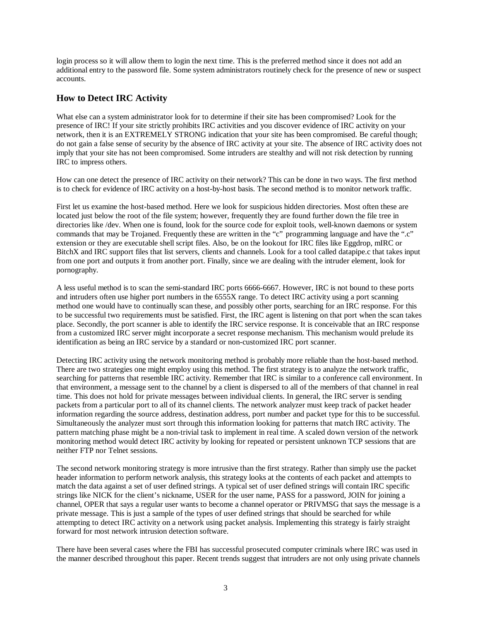login process so it will allow them to login the next time. This is the preferred method since it does not add an additional entry to the password file. Some system administrators routinely check for the presence of new or suspect accounts.

#### **How to Detect IRC Activity**

What else can a system administrator look for to determine if their site has been compromised? Look for the presence of IRC! If your site strictly prohibits IRC activities and you discover evidence of IRC activity on your network, then it is an EXTREMELY STRONG indication that your site has been compromised. Be careful though; do not gain a false sense of security by the absence of IRC activity at your site. The absence of IRC activity does not imply that your site has not been compromised. Some intruders are stealthy and will not risk detection by running IRC to impress others.

How can one detect the presence of IRC activity on their network? This can be done in two ways. The first method is to check for evidence of IRC activity on a host-by-host basis. The second method is to monitor network traffic.

First let us examine the host-based method. Here we look for suspicious hidden directories. Most often these are located just below the root of the file system; however, frequently they are found further down the file tree in directories like /dev. When one is found, look for the source code for exploit tools, well-known daemons or system commands that may be Trojaned. Frequently these are written in the "c" programming language and have the ".c" extension or they are executable shell script files. Also, be on the lookout for IRC files like Eggdrop, mIRC or BitchX and IRC support files that list servers, clients and channels. Look for a tool called datapipe.c that takes input from one port and outputs it from another port. Finally, since we are dealing with the intruder element, look for pornography.

A less useful method is to scan the semi-standard IRC ports 6666-6667. However, IRC is not bound to these ports and intruders often use higher port numbers in the 6555X range. To detect IRC activity using a port scanning method one would have to continually scan these, and possibly other ports, searching for an IRC response. For this to be successful two requirements must be satisfied. First, the IRC agent is listening on that port when the scan takes place. Secondly, the port scanner is able to identify the IRC service response. It is conceivable that an IRC response from a customized IRC server might incorporate a secret response mechanism. This mechanism would prelude its identification as being an IRC service by a standard or non-customized IRC port scanner.

Detecting IRC activity using the network monitoring method is probably more reliable than the host-based method. There are two strategies one might employ using this method. The first strategy is to analyze the network traffic, searching for patterns that resemble IRC activity. Remember that IRC is similar to a conference call environment. In that environment, a message sent to the channel by a client is dispersed to all of the members of that channel in real time. This does not hold for private messages between individual clients. In general, the IRC server is sending packets from a particular port to all of its channel clients. The network analyzer must keep track of packet header information regarding the source address, destination address, port number and packet type for this to be successful. Simultaneously the analyzer must sort through this information looking for patterns that match IRC activity. The pattern matching phase might be a non-trivial task to implement in real time. A scaled down version of the network monitoring method would detect IRC activity by looking for repeated or persistent unknown TCP sessions that are neither FTP nor Telnet sessions.

The second network monitoring strategy is more intrusive than the first strategy. Rather than simply use the packet header information to perform network analysis, this strategy looks at the contents of each packet and attempts to match the data against a set of user defined strings. A typical set of user defined strings will contain IRC specific strings like NICK for the client's nickname, USER for the user name, PASS for a password, JOIN for joining a channel, OPER that says a regular user wants to become a channel operator or PRIVMSG that says the message is a private message. This is just a sample of the types of user defined strings that should be searched for while attempting to detect IRC activity on a network using packet analysis. Implementing this strategy is fairly straight forward for most network intrusion detection software.

There have been several cases where the FBI has successful prosecuted computer criminals where IRC was used in the manner described throughout this paper. Recent trends suggest that intruders are not only using private channels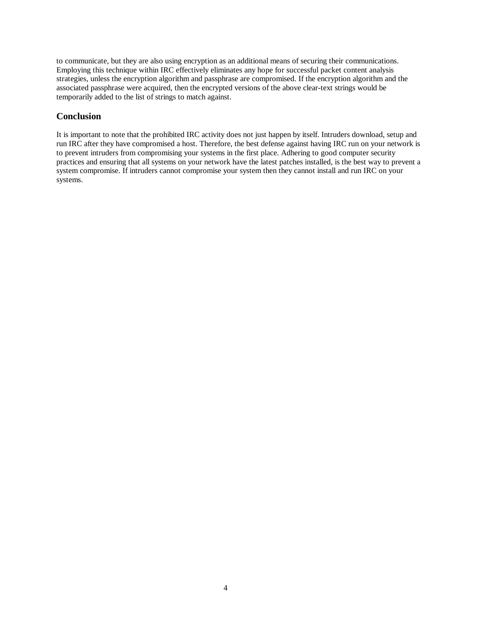to communicate, but they are also using encryption as an additional means of securing their communications. Employing this technique within IRC effectively eliminates any hope for successful packet content analysis strategies, unless the encryption algorithm and passphrase are compromised. If the encryption algorithm and the associated passphrase were acquired, then the encrypted versions of the above clear-text strings would be temporarily added to the list of strings to match against.

### **Conclusion**

It is important to note that the prohibited IRC activity does not just happen by itself. Intruders download, setup and run IRC after they have compromised a host. Therefore, the best defense against having IRC run on your network is to prevent intruders from compromising your systems in the first place. Adhering to good computer security practices and ensuring that all systems on your network have the latest patches installed, is the best way to prevent a system compromise. If intruders cannot compromise your system then they cannot install and run IRC on your systems.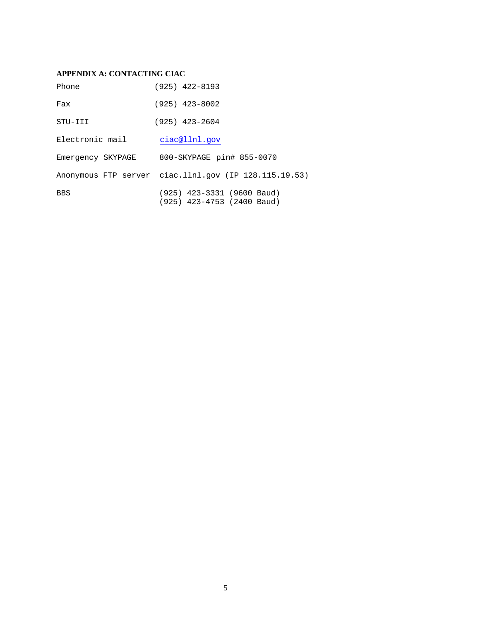#### **APPENDIX A: CONTACTING CIAC**

| Phone             | $(925)$ 422-8193                                           |
|-------------------|------------------------------------------------------------|
| Fax               | $(925)$ 423-8002                                           |
| STU-III           | $(925)$ 423-2604                                           |
| Electronic mail   | ciac@llnl.gov                                              |
| Emergency SKYPAGE | 800-SKYPAGE pin# 855-0070                                  |
|                   | Anonymous FTP server ciac.11n1.gov (IP 128.115.19.53)      |
| <b>BBS</b>        | $(925)$ 423-3331 (9600 Baud)<br>(925) 423-4753 (2400 Baud) |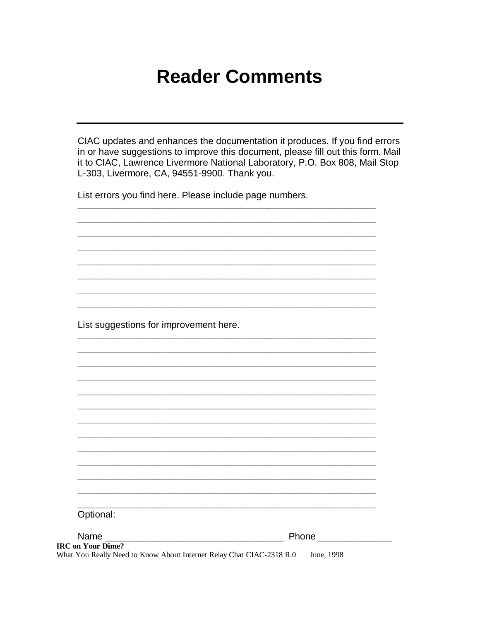### **Reader Comments**

CIAC updates and enhances the documentation it produces. If you find errors in or have suggestions to improve this document, please fill out this form. Mail it to CIAC, Lawrence Livermore National Laboratory, P.O. Box 808, Mail Stop L-303, Livermore, CA, 94551-9900. Thank you.

List errors you find here. Please include page numbers.

List suggestions for improvement here.

| Optional:                                                            |              |
|----------------------------------------------------------------------|--------------|
|                                                                      |              |
|                                                                      |              |
|                                                                      | <b>Phone</b> |
| <b>IRC</b> on Your Dime?                                             |              |
| What You Really Need to Know About Internet Relay Chat CIAC-2318 R.0 | June, 1998   |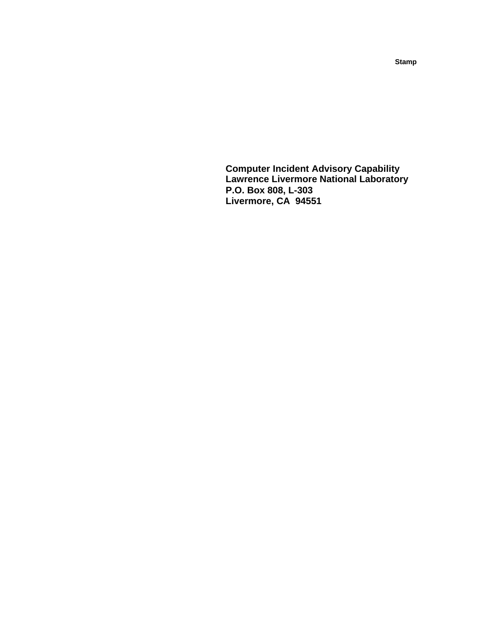**Computer Incident Advisory Capability Lawrence Livermore National Laboratory P.O. Box 808, L-303 Livermore, CA 94551**